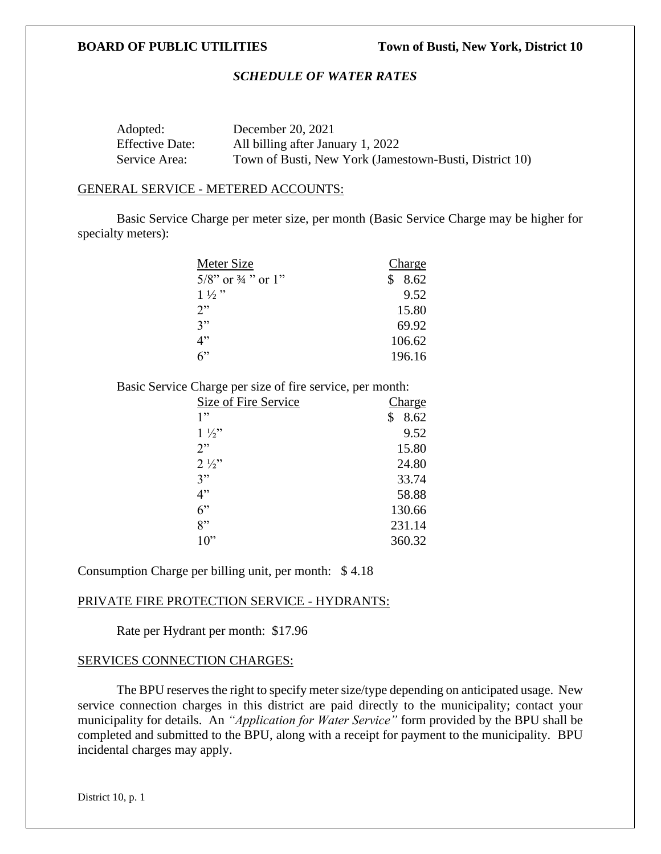# *SCHEDULE OF WATER RATES*

| Adopted:               | December 20, 2021                                      |
|------------------------|--------------------------------------------------------|
| <b>Effective Date:</b> | All billing after January 1, 2022                      |
| Service Area:          | Town of Busti, New York (Jamestown-Busti, District 10) |

#### GENERAL SERVICE - METERED ACCOUNTS:

Basic Service Charge per meter size, per month (Basic Service Charge may be higher for specialty meters):

| Meter Size                       | <b>Charge</b> |
|----------------------------------|---------------|
| $5/8$ " or $\frac{3}{4}$ " or 1" | 8.62<br>S     |
| $1\frac{1}{2}$ "                 | 9.52          |
| 2"                               | 15.80         |
| 3"                               | 69.92         |
| 4"                               | 106.62        |
| $6$ "                            | 196.16        |

Basic Service Charge per size of fire service, per month:

| Size of Fire Service | <b>Charge</b> |
|----------------------|---------------|
| 1"                   | 8.62<br>\$    |
| $1\frac{1}{2}$       | 9.52          |
| 2"                   | 15.80         |
| $2\frac{1}{2}$       | 24.80         |
| 3"                   | 33.74         |
| 4"                   | 58.88         |
| 6"                   | 130.66        |
| 8"                   | 231.14        |
| $10$ "               | 360.32        |

Consumption Charge per billing unit, per month: \$ 4.18

### PRIVATE FIRE PROTECTION SERVICE - HYDRANTS:

Rate per Hydrant per month: \$17.96

### SERVICES CONNECTION CHARGES:

The BPU reserves the right to specify meter size/type depending on anticipated usage. New service connection charges in this district are paid directly to the municipality; contact your municipality for details. An *"Application for Water Service"* form provided by the BPU shall be completed and submitted to the BPU, along with a receipt for payment to the municipality. BPU incidental charges may apply.

District 10, p. 1